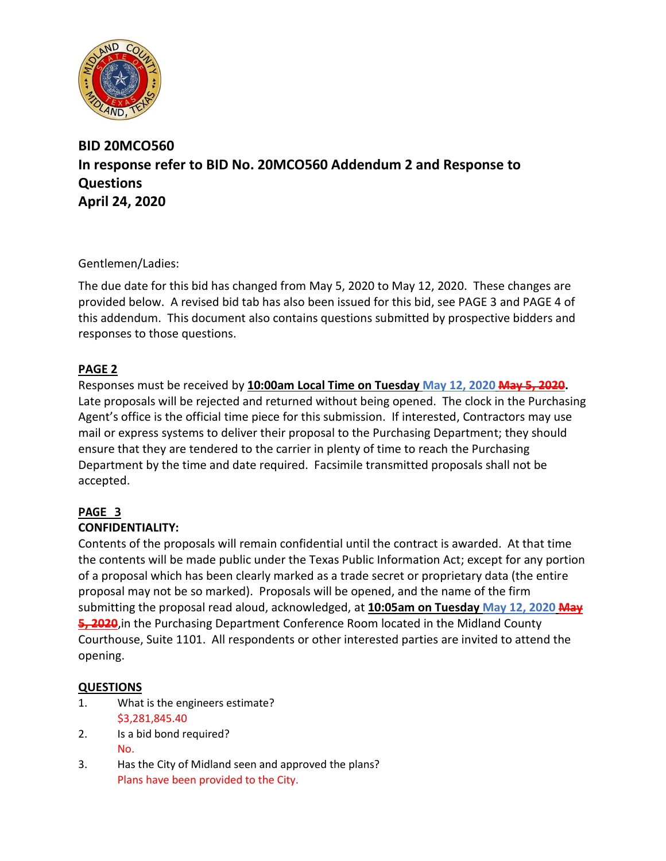

## **BID 20MCO560 In response refer to BID No. 20MCO560 Addendum 2 and Response to Questions April 24, 2020**

Gentlemen/Ladies:

The due date for this bid has changed from May 5, 2020 to May 12, 2020. These changes are provided below. A revised bid tab has also been issued for this bid, see PAGE 3 and PAGE 4 of this addendum. This document also contains questions submitted by prospective bidders and responses to those questions.

### **PAGE 2**

Responses must be received by **10:00am Local Time on Tuesday May 12, 2020 May 5, 2020.** Late proposals will be rejected and returned without being opened. The clock in the Purchasing Agent's office is the official time piece for this submission. If interested, Contractors may use mail or express systems to deliver their proposal to the Purchasing Department; they should ensure that they are tendered to the carrier in plenty of time to reach the Purchasing Department by the time and date required. Facsimile transmitted proposals shall not be accepted.

# **PAGE 3**

### **CONFIDENTIALITY:**

Contents of the proposals will remain confidential until the contract is awarded. At that time the contents will be made public under the Texas Public Information Act; except for any portion of a proposal which has been clearly marked as a trade secret or proprietary data (the entire proposal may not be so marked). Proposals will be opened, and the name of the firm submitting the proposal read aloud, acknowledged, at **10:05am on Tuesday May 12, 2020 May 5, 2020**,in the Purchasing Department Conference Room located in the Midland County Courthouse, Suite 1101. All respondents or other interested parties are invited to attend the opening.

### **QUESTIONS**

- 1. What is the engineers estimate? \$3,281,845.40
- 2. Is a bid bond required? No.
- 3. Has the City of Midland seen and approved the plans? Plans have been provided to the City.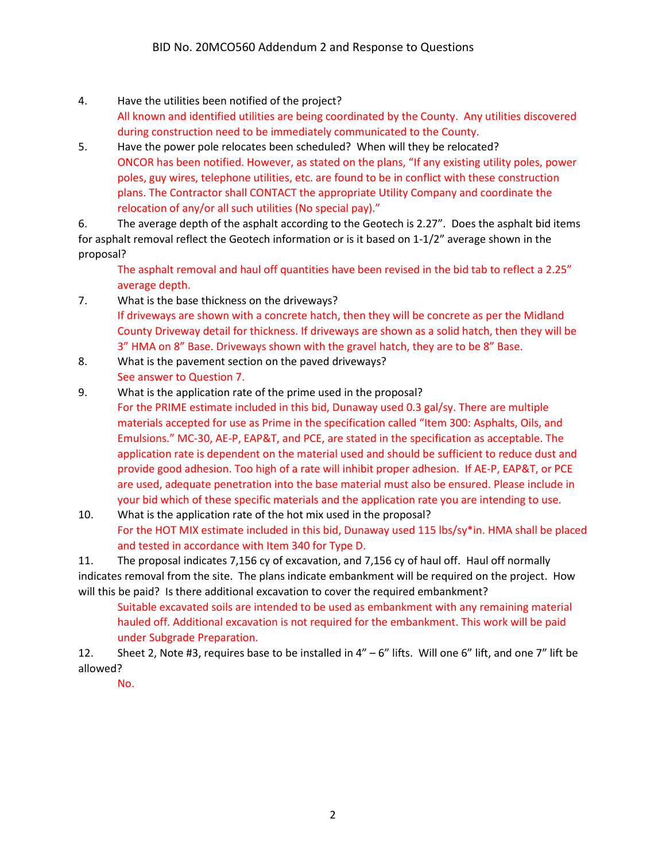- 4. Have the utilities been notified of the project? All known and identified utilities are being coordinated by the County. Any utilities discovered during construction need to be immediately communicated to the County.
- 5. Have the power pole relocates been scheduled? When will they be relocated? ONCOR has been notified. However, as stated on the plans, "If any existing utility poles, power poles, guy wires, telephone utilities, etc. are found to be in conflict with these construction plans. The Contractor shall CONTACT the appropriate Utility Company and coordinate the relocation of any/or all such utilities (No special pay)."

6. The average depth of the asphalt according to the Geotech is 2.27". Does the asphalt bid items for asphalt removal reflect the Geotech information or is it based on 1-1/2" average shown in the proposal?

The asphalt removal and haul off quantities have been revised in the bid tab to reflect a 2.25" average depth.

- 7. What is the base thickness on the driveways? If driveways are shown with a concrete hatch, then they will be concrete as per the Midland County Driveway detail for thickness. If driveways are shown as a solid hatch, then they will be 3" HMA on 8" Base. Driveways shown with the gravel hatch, they are to be 8" Base.
- 8. What is the pavement section on the paved driveways? See answer to Question 7.
- 9. What is the application rate of the prime used in the proposal? For the PRIME estimate included in this bid, Dunaway used 0.3 gal/sy. There are multiple materials accepted for use as Prime in the specification called "Item 300: Asphalts, Oils, and Emulsions." MC-30, AE-P, EAP&T, and PCE, are stated in the specification as acceptable. The application rate is dependent on the material used and should be sufficient to reduce dust and provide good adhesion. Too high of a rate will inhibit proper adhesion. If AE-P, EAP&T, or PCE are used, adequate penetration into the base material must also be ensured. Please include in your bid which of these specific materials and the application rate you are intending to use.
- 10. What is the application rate of the hot mix used in the proposal? For the HOT MIX estimate included in this bid, Dunaway used 115 lbs/sy\*in. HMA shall be placed and tested in accordance with Item 340 for Type D.

11. The proposal indicates 7,156 cy of excavation, and 7,156 cy of haul off. Haul off normally indicates removal from the site. The plans indicate embankment will be required on the project. How will this be paid? Is there additional excavation to cover the required embankment?

Suitable excavated soils are intended to be used as embankment with any remaining material hauled off. Additional excavation is not required for the embankment. This work will be paid under Subgrade Preparation.

12. Sheet 2, Note #3, requires base to be installed in  $4'' - 6''$  lifts. Will one 6" lift, and one 7" lift be allowed?

No.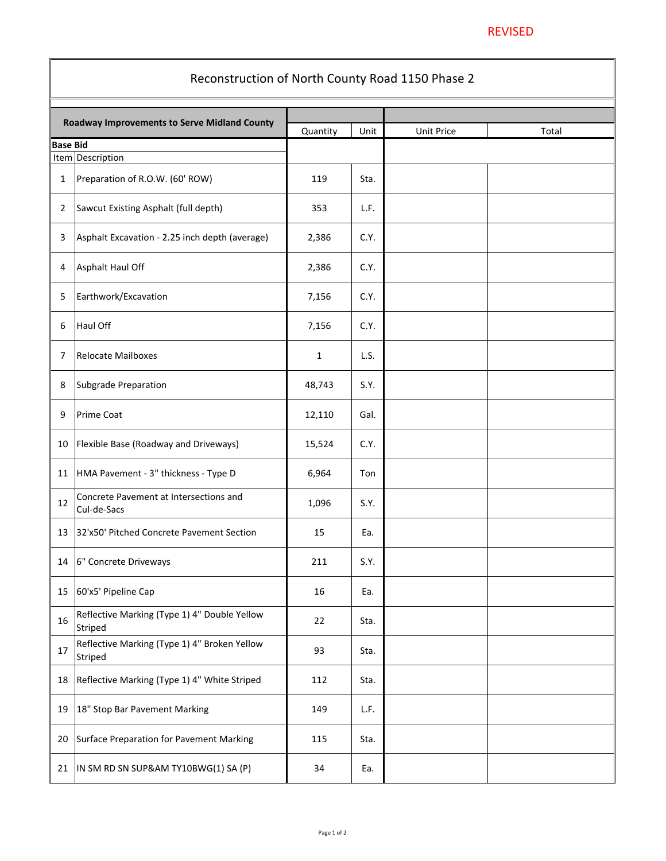| Reconstruction of North County Road 1150 Phase 2    |                                                                |             |      |                   |       |  |  |  |
|-----------------------------------------------------|----------------------------------------------------------------|-------------|------|-------------------|-------|--|--|--|
| <b>Roadway Improvements to Serve Midland County</b> |                                                                | Quantity    | Unit | <b>Unit Price</b> | Total |  |  |  |
| <b>Base Bid</b><br>Item Description                 |                                                                |             |      |                   |       |  |  |  |
| $\mathbf 1$                                         | Preparation of R.O.W. (60' ROW)                                | 119         | Sta. |                   |       |  |  |  |
|                                                     |                                                                |             |      |                   |       |  |  |  |
| $\overline{2}$                                      | Sawcut Existing Asphalt (full depth)                           | 353         | L.F. |                   |       |  |  |  |
| $\overline{3}$                                      | Asphalt Excavation - 2.25 inch depth (average)                 | 2,386       | C.Y. |                   |       |  |  |  |
| $\overline{4}$                                      | Asphalt Haul Off                                               | 2,386       | C.Y. |                   |       |  |  |  |
| 5                                                   | Earthwork/Excavation                                           | 7,156       | C.Y. |                   |       |  |  |  |
| 6                                                   | Haul Off                                                       | 7,156       | C.Y. |                   |       |  |  |  |
| $\overline{7}$                                      | Relocate Mailboxes                                             | $\mathbf 1$ | L.S. |                   |       |  |  |  |
| 8                                                   | Subgrade Preparation                                           | 48,743      | S.Y. |                   |       |  |  |  |
| 9                                                   | <b>Prime Coat</b>                                              | 12,110      | Gal. |                   |       |  |  |  |
| 10                                                  | <b>Flexible Base (Roadway and Driveways)</b>                   | 15,524      | C.Y. |                   |       |  |  |  |
| 11                                                  | HMA Pavement - 3" thickness - Type D                           | 6,964       | Ton  |                   |       |  |  |  |
| 12                                                  | Concrete Pavement at Intersections and<br>Cul-de-Sacs          | 1,096       | S.Y. |                   |       |  |  |  |
| 13                                                  | 32'x50' Pitched Concrete Pavement Section                      | 15          | Ea.  |                   |       |  |  |  |
| 14                                                  | 6" Concrete Driveways                                          | 211         | S.Y. |                   |       |  |  |  |
| 15                                                  | 60'x5' Pipeline Cap                                            | 16          | Ea.  |                   |       |  |  |  |
| 16                                                  | Reflective Marking (Type 1) 4" Double Yellow<br><b>Striped</b> | 22          | Sta. |                   |       |  |  |  |
| 17                                                  | Reflective Marking (Type 1) 4" Broken Yellow<br><b>Striped</b> | 93          | Sta. |                   |       |  |  |  |
| 18                                                  | Reflective Marking (Type 1) 4" White Striped                   | 112         | Sta. |                   |       |  |  |  |
| 19                                                  | 18" Stop Bar Pavement Marking                                  | 149         | L.F. |                   |       |  |  |  |
| 20                                                  | Surface Preparation for Pavement Marking                       | 115         | Sta. |                   |       |  |  |  |
| 21                                                  | $\vert$ IN SM RD SN SUP&AM TY10BWG(1) SA (P)                   | 34          | Ea.  |                   |       |  |  |  |